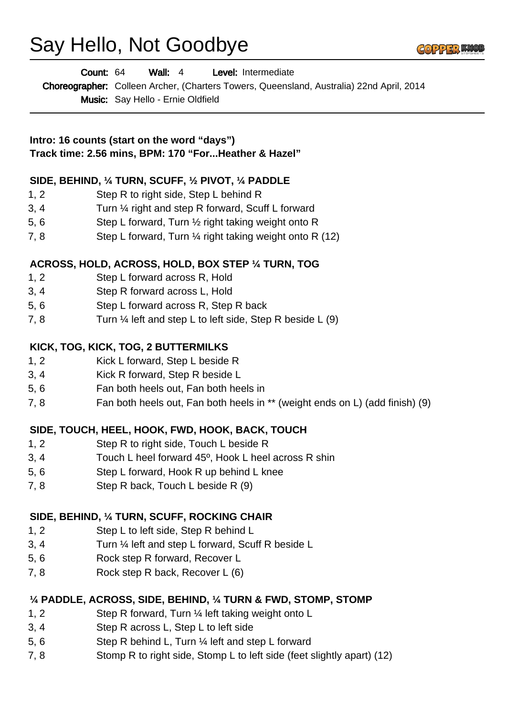# Say Hello, Not Goodbye



| <b>Count: 64</b> | Wall: 4                                  | <b>Level:</b> Intermediate |                                                                                                 |
|------------------|------------------------------------------|----------------------------|-------------------------------------------------------------------------------------------------|
|                  |                                          |                            | <b>Choreographer:</b> Colleen Archer, (Charters Towers, Queensland, Australia) 22nd April, 2014 |
|                  | <b>Music:</b> Say Hello - Ernie Oldfield |                            |                                                                                                 |

**Intro: 16 counts (start on the word "days") Track time: 2.56 mins, BPM: 170 "For...Heather & Hazel"**

#### **SIDE, BEHIND, ¼ TURN, SCUFF, ½ PIVOT, ¼ PADDLE**

- 1, 2 Step R to right side, Step L behind R
- 3, 4 Turn ¼ right and step R forward, Scuff L forward
- 5, 6 Step L forward, Turn ½ right taking weight onto R
- 7, 8 Step L forward, Turn  $\frac{1}{4}$  right taking weight onto R (12)

#### **ACROSS, HOLD, ACROSS, HOLD, BOX STEP ¼ TURN, TOG**

- 1, 2 Step L forward across R, Hold
- 3, 4 Step R forward across L, Hold
- 5, 6 Step L forward across R, Step R back
- 7, 8 Turn  $\frac{1}{4}$  left and step L to left side, Step R beside L (9)

#### **KICK, TOG, KICK, TOG, 2 BUTTERMILKS**

- 1, 2 Kick L forward, Step L beside R
- 3, 4 Kick R forward, Step R beside L
- 5, 6 Fan both heels out, Fan both heels in
- 7, 8 Fan both heels out, Fan both heels in \*\* (weight ends on L) (add finish) (9)

## **SIDE, TOUCH, HEEL, HOOK, FWD, HOOK, BACK, TOUCH**

- 1, 2 Step R to right side, Touch L beside R
- 3, 4 Touch L heel forward 45º, Hook L heel across R shin
- 5, 6 Step L forward, Hook R up behind L knee
- 7, 8 Step R back, Touch L beside R (9)

## **SIDE, BEHIND, ¼ TURN, SCUFF, ROCKING CHAIR**

- 1, 2 Step L to left side, Step R behind L
- 3, 4 Turn ¼ left and step L forward, Scuff R beside L
- 5, 6 Rock step R forward, Recover L
- 7, 8 Rock step R back, Recover L (6)

## **¼ PADDLE, ACROSS, SIDE, BEHIND, ¼ TURN & FWD, STOMP, STOMP**

- 1, 2 Step R forward, Turn ¼ left taking weight onto L
- 3, 4 Step R across L, Step L to left side
- 5, 6 Step R behind L, Turn ¼ left and step L forward
- 7, 8 Stomp R to right side, Stomp L to left side (feet slightly apart) (12)